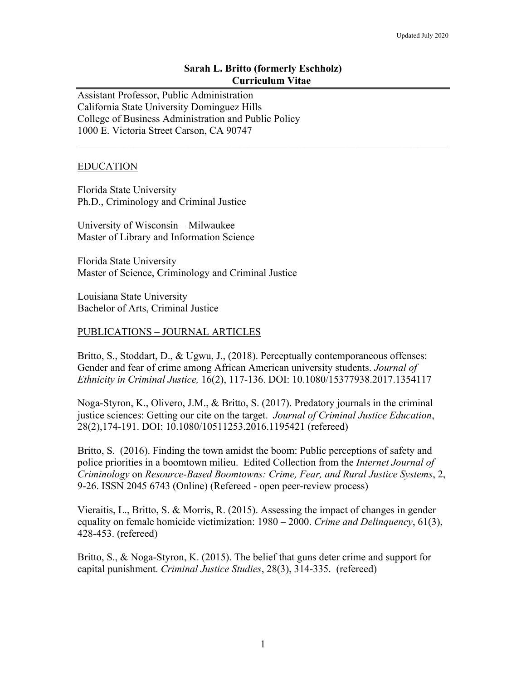# **Sarah L. Britto (formerly Eschholz) Curriculum Vitae**

Assistant Professor, Public Administration California State University Dominguez Hills College of Business Administration and Public Policy 1000 E. Victoria Street Carson, CA 90747

## EDUCATION

Florida State University Ph.D., Criminology and Criminal Justice

University of Wisconsin – Milwaukee Master of Library and Information Science

Florida State University Master of Science, Criminology and Criminal Justice

Louisiana State University Bachelor of Arts, Criminal Justice

# PUBLICATIONS – JOURNAL ARTICLES

Britto, S., Stoddart, D., & Ugwu, J., (2018). Perceptually contemporaneous offenses: Gender and fear of crime among African American university students. *Journal of Ethnicity in Criminal Justice,* 16(2), 117-136. DOI: 10.1080/15377938.2017.1354117

Noga-Styron, K., Olivero, J.M., & Britto, S. (2017). Predatory journals in the criminal justice sciences: Getting our cite on the target. *Journal of Criminal Justice Education*, 28(2),174-191. DOI: 10.1080/10511253.2016.1195421 (refereed)

Britto, S. (2016). Finding the town amidst the boom: Public perceptions of safety and police priorities in a boomtown milieu. Edited Collection from the *Internet Journal of Criminology* on *Resource-Based Boomtowns: Crime, Fear, and Rural Justice Systems*, 2, 9-26. ISSN 2045 6743 (Online) (Refereed - open peer-review process)

Vieraitis, L., Britto, S. & Morris, R. (2015). Assessing the impact of changes in gender equality on female homicide victimization: 1980 – 2000. *Crime and Delinquency*, 61(3), 428-453. (refereed)

Britto, S., & Noga-Styron, K. (2015). The belief that guns deter crime and support for capital punishment. *Criminal Justice Studies*, 28(3), 314-335. (refereed)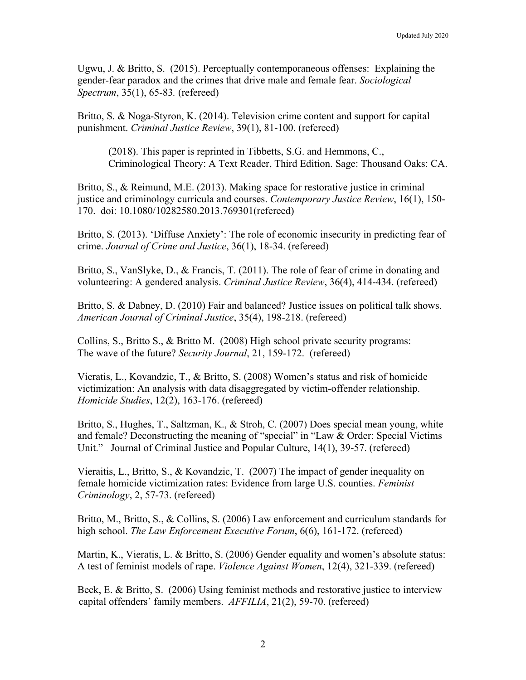Ugwu, J. & Britto, S. (2015). Perceptually contemporaneous offenses: Explaining the gender-fear paradox and the crimes that drive male and female fear. *Sociological Spectrum*, 35(1), 65-83*.* (refereed)

Britto, S. & Noga-Styron, K. (2014). Television crime content and support for capital punishment. *Criminal Justice Review*, 39(1), 81-100. (refereed)

(2018). This paper is reprinted in Tibbetts, S.G. and Hemmons, C., Criminological Theory: A Text Reader, Third Edition. Sage: Thousand Oaks: CA.

Britto, S., & Reimund, M.E. (2013). Making space for restorative justice in criminal justice and criminology curricula and courses. *Contemporary Justice Review*, 16(1), 150- 170. doi: 10.1080/10282580.2013.769301(refereed)

Britto, S. (2013). 'Diffuse Anxiety': The role of economic insecurity in predicting fear of crime. *Journal of Crime and Justice*, 36(1), 18-34. (refereed)

Britto, S., VanSlyke, D., & Francis, T. (2011). The role of fear of crime in donating and volunteering: A gendered analysis. *Criminal Justice Review*, 36(4), 414-434. (refereed)

Britto, S. & Dabney, D. (2010) Fair and balanced? Justice issues on political talk shows. *American Journal of Criminal Justice*, 35(4), 198-218. (refereed)

Collins, S., Britto S., & Britto M. (2008) High school private security programs: The wave of the future? *Security Journal*, 21, 159-172. (refereed)

Vieratis, L., Kovandzic, T., & Britto, S. (2008) Women's status and risk of homicide victimization: An analysis with data disaggregated by victim-offender relationship. *Homicide Studies*, 12(2), 163-176. (refereed)

Britto, S., Hughes, T., Saltzman, K., & Stroh, C. (2007) Does special mean young, white and female? Deconstructing the meaning of "special" in "Law & Order: Special Victims Unit." Journal of Criminal Justice and Popular Culture, 14(1), 39-57. (refereed)

Vieraitis, L., Britto, S., & Kovandzic, T. (2007) The impact of gender inequality on female homicide victimization rates: Evidence from large U.S. counties. *Feminist Criminology*, 2, 57-73. (refereed)

Britto, M., Britto, S., & Collins, S. (2006) Law enforcement and curriculum standards for high school. *The Law Enforcement Executive Forum*, 6(6), 161-172. (refereed)

Martin, K., Vieratis, L. & Britto, S. (2006) Gender equality and women's absolute status: A test of feminist models of rape. *Violence Against Women*, 12(4), 321-339. (refereed)

Beck, E. & Britto, S. (2006) Using feminist methods and restorative justice to interview capital offenders' family members. *AFFILIA*, 21(2), 59-70. (refereed)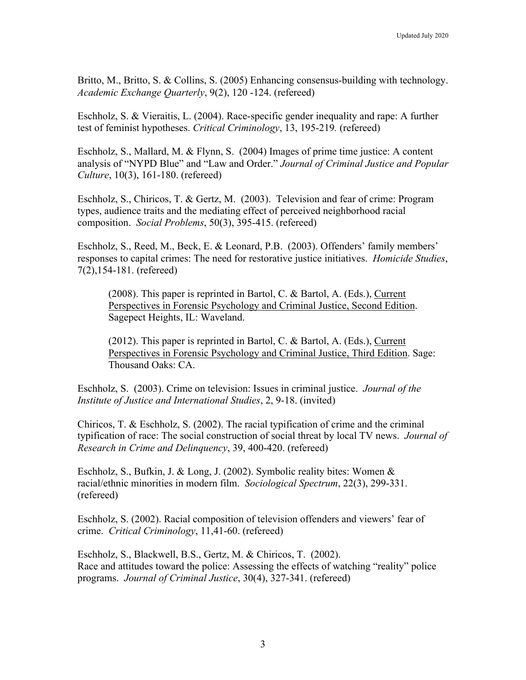Britto, M., Britto, S. & Collins, S. (2005) Enhancing consensus-building with technology. *Academic Exchange Quarterly*, 9(2), 120 -124. (refereed)

Eschholz, S. & Vieraitis, L. (2004). Race-specific gender inequality and rape: A further test of feminist hypotheses. *Critical Criminology*, 13, 195-219*.* (refereed)

Eschholz, S., Mallard, M. & Flynn, S. (2004) Images of prime time justice: A content analysis of "NYPD Blue" and "Law and Order." *Journal of Criminal Justice and Popular Culture*, 10(3), 161-180. (refereed)

Eschholz, S., Chiricos, T. & Gertz, M. (2003). Television and fear of crime: Program types, audience traits and the mediating effect of perceived neighborhood racial composition. *Social Problems*, 50(3), 395-415. (refereed)

Eschholz, S., Reed, M., Beck, E. & Leonard, P.B. (2003). Offenders' family members' responses to capital crimes: The need for restorative justice initiatives. *Homicide Studies*, 7(2),154-181. (refereed)

(2008). This paper is reprinted in Bartol, C. & Bartol, A. (Eds.), Current Perspectives in Forensic Psychology and Criminal Justice, Second Edition. Sagepect Heights, IL: Waveland.

(2012). This paper is reprinted in Bartol, C. & Bartol, A. (Eds.), Current Perspectives in Forensic Psychology and Criminal Justice, Third Edition. Sage: Thousand Oaks: CA.

Eschholz, S. (2003). Crime on television: Issues in criminal justice. *Journal of the Institute of Justice and International Studies*, 2, 9-18. (invited)

Chiricos, T. & Eschholz, S. (2002). The racial typification of crime and the criminal typification of race: The social construction of social threat by local TV news. *Journal of Research in Crime and Delinquency*, 39, 400-420. (refereed)

Eschholz, S., Bufkin, J. & Long, J. (2002). Symbolic reality bites: Women & racial/ethnic minorities in modern film. *Sociological Spectrum*, 22(3), 299-331. (refereed)

Eschholz, S. (2002). Racial composition of television offenders and viewers' fear of crime. *Critical Criminology*, 11,41-60. (refereed)

Eschholz, S., Blackwell, B.S., Gertz, M. & Chiricos, T. (2002). Race and attitudes toward the police: Assessing the effects of watching "reality" police programs. *Journal of Criminal Justice*, 30(4), 327-341. (refereed)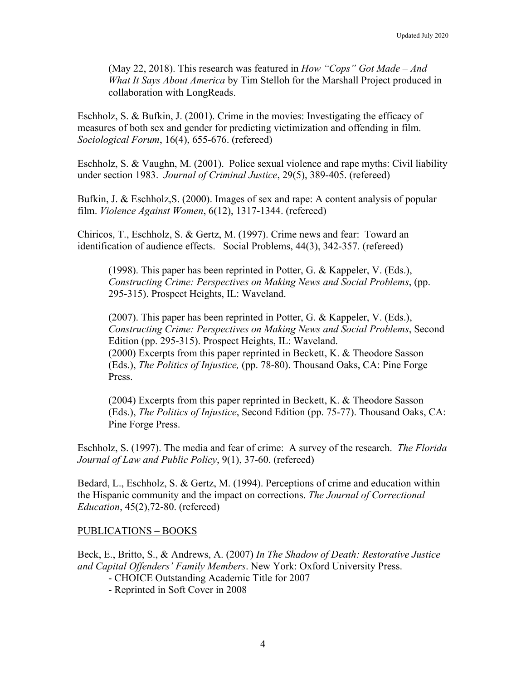(May 22, 2018). This research was featured in *How "Cops" Got Made – And What It Says About America* by Tim Stelloh for the Marshall Project produced in collaboration with LongReads.

Eschholz, S. & Bufkin, J. (2001). Crime in the movies: Investigating the efficacy of measures of both sex and gender for predicting victimization and offending in film. *Sociological Forum*, 16(4), 655-676. (refereed)

Eschholz, S. & Vaughn, M. (2001). Police sexual violence and rape myths: Civil liability under section 1983. *Journal of Criminal Justice*, 29(5), 389-405. (refereed)

Bufkin, J. & Eschholz,S. (2000). Images of sex and rape: A content analysis of popular film. *Violence Against Women*, 6(12), 1317-1344. (refereed)

Chiricos, T., Eschholz, S. & Gertz, M. (1997). Crime news and fear: Toward an identification of audience effects. Social Problems, 44(3), 342-357. (refereed)

(1998). This paper has been reprinted in Potter, G. & Kappeler, V. (Eds.), *Constructing Crime: Perspectives on Making News and Social Problems*, (pp. 295-315). Prospect Heights, IL: Waveland.

(2007). This paper has been reprinted in Potter, G. & Kappeler, V. (Eds.), *Constructing Crime: Perspectives on Making News and Social Problems*, Second Edition (pp. 295-315). Prospect Heights, IL: Waveland. (2000) Excerpts from this paper reprinted in Beckett, K. & Theodore Sasson (Eds.), *The Politics of Injustice,* (pp. 78-80). Thousand Oaks, CA: Pine Forge Press.

(2004) Excerpts from this paper reprinted in Beckett, K. & Theodore Sasson (Eds.), *The Politics of Injustice*, Second Edition (pp. 75-77). Thousand Oaks, CA: Pine Forge Press.

Eschholz, S. (1997). The media and fear of crime: A survey of the research. *The Florida Journal of Law and Public Policy*, 9(1), 37-60. (refereed)

Bedard, L., Eschholz, S. & Gertz, M. (1994). Perceptions of crime and education within the Hispanic community and the impact on corrections. *The Journal of Correctional Education*, 45(2),72-80. (refereed)

#### PUBLICATIONS – BOOKS

Beck, E., Britto, S., & Andrews, A. (2007) *In The Shadow of Death: Restorative Justice and Capital Offenders' Family Members*. New York: Oxford University Press.

- CHOICE Outstanding Academic Title for 2007
- Reprinted in Soft Cover in 2008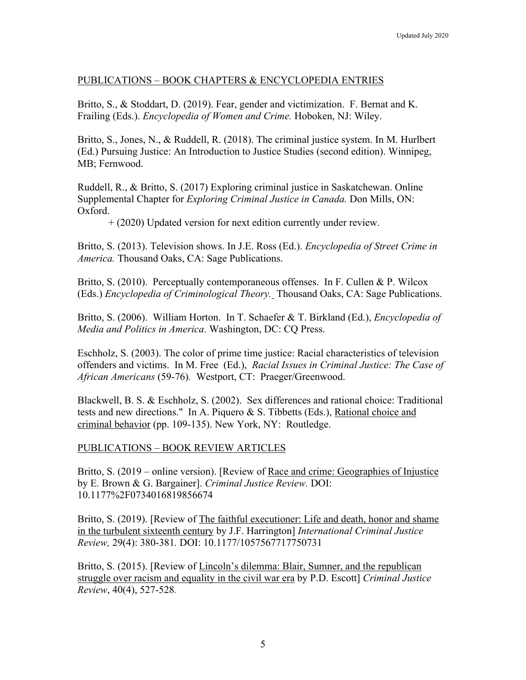# PUBLICATIONS – BOOK CHAPTERS & ENCYCLOPEDIA ENTRIES

Britto, S., & Stoddart, D. (2019). Fear, gender and victimization. F. Bernat and K. Frailing (Eds.). *Encyclopedia of Women and Crime.* Hoboken, NJ: Wiley.

Britto, S., Jones, N., & Ruddell, R. (2018). The criminal justice system. In M. Hurlbert (Ed.) Pursuing Justice: An Introduction to Justice Studies (second edition). Winnipeg, MB; Fernwood.

Ruddell, R., & Britto, S. (2017) Exploring criminal justice in Saskatchewan. Online Supplemental Chapter for *Exploring Criminal Justice in Canada.* Don Mills, ON: Oxford.

+ (2020) Updated version for next edition currently under review.

Britto, S. (2013). Television shows. In J.E. Ross (Ed.). *Encyclopedia of Street Crime in America.* Thousand Oaks, CA: Sage Publications.

Britto, S. (2010). Perceptually contemporaneous offenses. In F. Cullen & P. Wilcox (Eds.) *Encyclopedia of Criminological Theory.* Thousand Oaks, CA: Sage Publications.

Britto, S. (2006). William Horton. In T. Schaefer & T. Birkland (Ed.), *Encyclopedia of Media and Politics in America*. Washington, DC: CQ Press.

Eschholz, S. (2003). The color of prime time justice: Racial characteristics of television offenders and victims. In M. Free (Ed.), *Racial Issues in Criminal Justice: The Case of African Americans* (59-76)*.* Westport, CT: Praeger/Greenwood.

Blackwell, B. S. & Eschholz, S. (2002). Sex differences and rational choice: Traditional tests and new directions." In A. Piquero & S. Tibbetts (Eds.), Rational choice and criminal behavior (pp. 109-135). New York, NY: Routledge.

#### PUBLICATIONS – BOOK REVIEW ARTICLES

Britto, S. (2019 – online version). [Review of <u>Race and crime: Geographies of Injustice</u> by E. Brown & G. Bargainer]. *Criminal Justice Review.* DOI: 10.1177%2F0734016819856674

Britto, S. (2019). [Review of The faithful executioner: Life and death, honor and shame in the turbulent sixteenth century by J.F. Harrington] *International Criminal Justice Review,* 29(4): 380-381*.* DOI: 10.1177/1057567717750731

Britto, S. (2015). [Review of Lincoln's dilemma: Blair, Sumner, and the republican struggle over racism and equality in the civil war era by P.D. Escott] *Criminal Justice Review*, 40(4), 527-528.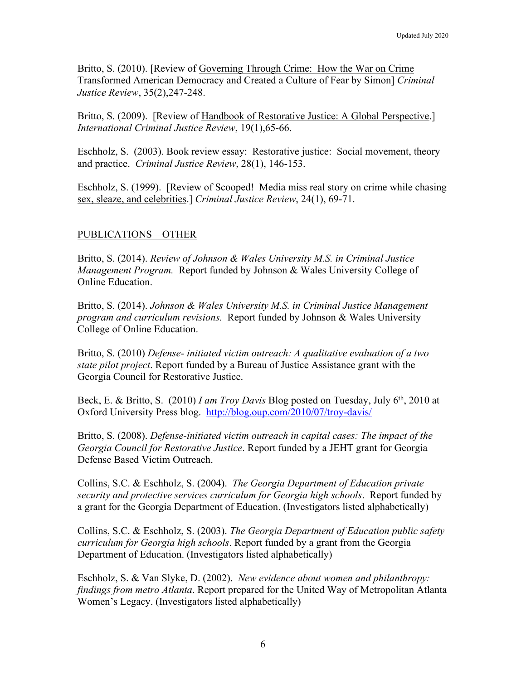Britto, S. (2010). [Review of Governing Through Crime: How the War on Crime Transformed American Democracy and Created a Culture of Fear by Simon] *Criminal Justice Review*, 35(2),247-248.

Britto, S. (2009). [Review of Handbook of Restorative Justice: A Global Perspective.] *International Criminal Justice Review*, 19(1),65-66.

Eschholz, S. (2003). Book review essay: Restorative justice: Social movement, theory and practice. *Criminal Justice Review*, 28(1), 146-153.

Eschholz, S. (1999). [Review of Scooped! Media miss real story on crime while chasing sex, sleaze, and celebrities.] *Criminal Justice Review*, 24(1), 69-71.

# PUBLICATIONS – OTHER

Britto, S. (2014). *Review of Johnson & Wales University M.S. in Criminal Justice Management Program.* Report funded by Johnson & Wales University College of Online Education.

Britto, S. (2014). *Johnson & Wales University M.S. in Criminal Justice Management program and curriculum revisions.* Report funded by Johnson & Wales University College of Online Education.

Britto, S. (2010) *Defense- initiated victim outreach: A qualitative evaluation of a two state pilot project*. Report funded by a Bureau of Justice Assistance grant with the Georgia Council for Restorative Justice.

Beck, E. & Britto, S. (2010) *I am Troy Davis* Blog posted on Tuesday, July 6th, 2010 at Oxford University Press blog. http://blog.oup.com/2010/07/troy-davis/

Britto, S. (2008). *Defense-initiated victim outreach in capital cases: The impact of the Georgia Council for Restorative Justice*. Report funded by a JEHT grant for Georgia Defense Based Victim Outreach.

Collins, S.C. & Eschholz, S. (2004). *The Georgia Department of Education private security and protective services curriculum for Georgia high schools*. Report funded by a grant for the Georgia Department of Education. (Investigators listed alphabetically)

Collins, S.C. & Eschholz, S. (2003). *The Georgia Department of Education public safety curriculum for Georgia high schools*. Report funded by a grant from the Georgia Department of Education. (Investigators listed alphabetically)

Eschholz, S. & Van Slyke, D. (2002). *New evidence about women and philanthropy: findings from metro Atlanta*. Report prepared for the United Way of Metropolitan Atlanta Women's Legacy. (Investigators listed alphabetically)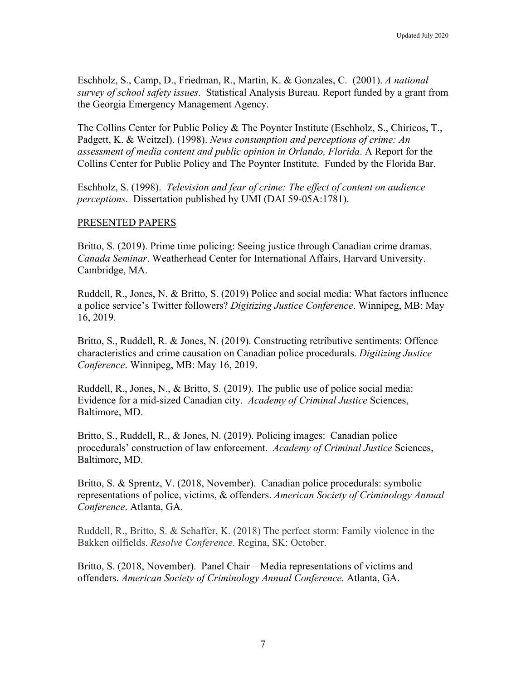Eschholz, S., Camp, D., Friedman, R., Martin, K. & Gonzales, C. (2001). *A national survey of school safety issues*. Statistical Analysis Bureau. Report funded by a grant from the Georgia Emergency Management Agency.

The Collins Center for Public Policy & The Poynter Institute (Eschholz, S., Chiricos, T., Padgett, K. & Weitzel). (1998). *News consumption and perceptions of crime: An assessment of media content and public opinion in Orlando, Florida*. A Report for the Collins Center for Public Policy and The Poynter Institute. Funded by the Florida Bar.

Eschholz, S. (1998). *Television and fear of crime: The effect of content on audience perceptions*. Dissertation published by UMI (DAI 59-05A:1781).

#### PRESENTED PAPERS

Britto, S. (2019). Prime time policing: Seeing justice through Canadian crime dramas. *Canada Seminar*. Weatherhead Center for International Affairs, Harvard University. Cambridge, MA.

Ruddell, R., Jones, N. & Britto, S. (2019) Police and social media: What factors influence a police service's Twitter followers? *Digitizing Justice Conference*. Winnipeg, MB: May 16, 2019.

Britto, S., Ruddell, R. & Jones, N. (2019). Constructing retributive sentiments: Offence characteristics and crime causation on Canadian police procedurals. *Digitizing Justice Conference*. Winnipeg, MB: May 16, 2019.

Ruddell, R., Jones, N., & Britto, S. (2019). The public use of police social media: Evidence for a mid-sized Canadian city. *Academy of Criminal Justice* Sciences, Baltimore, MD.

Britto, S., Ruddell, R., & Jones, N. (2019). Policing images: Canadian police procedurals' construction of law enforcement. *Academy of Criminal Justice* Sciences, Baltimore, MD.

Britto, S. & Sprentz, V. (2018, November). Canadian police procedurals: symbolic representations of police, victims, & offenders. *American Society of Criminology Annual Conference*. Atlanta, GA.

Ruddell, R., Britto, S. & Schaffer, K. (2018) The perfect storm: Family violence in the Bakken oilfields. *Resolve Conference*. Regina, SK: October.

Britto, S. (2018, November). Panel Chair – Media representations of victims and offenders. *American Society of Criminology Annual Conference*. Atlanta, GA.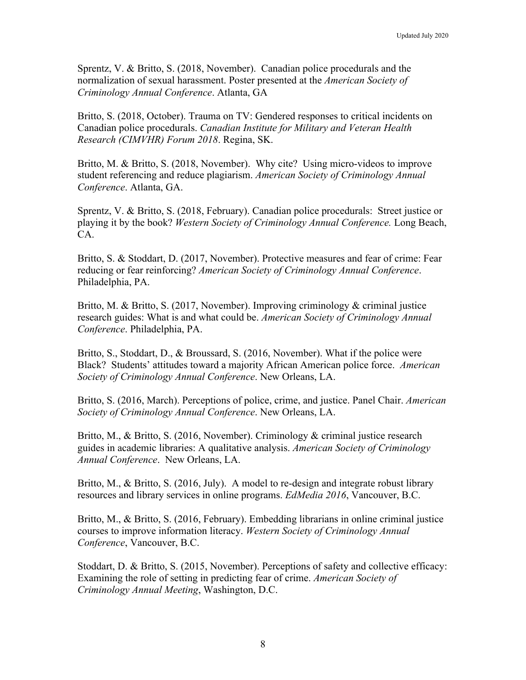Sprentz, V. & Britto, S. (2018, November). Canadian police procedurals and the normalization of sexual harassment. Poster presented at the *American Society of Criminology Annual Conference*. Atlanta, GA

Britto, S. (2018, October). Trauma on TV: Gendered responses to critical incidents on Canadian police procedurals. *Canadian Institute for Military and Veteran Health Research (CIMVHR) Forum 2018*. Regina, SK.

Britto, M. & Britto, S. (2018, November). Why cite? Using micro-videos to improve student referencing and reduce plagiarism. *American Society of Criminology Annual Conference*. Atlanta, GA.

Sprentz, V. & Britto, S. (2018, February). Canadian police procedurals: Street justice or playing it by the book? *Western Society of Criminology Annual Conference.* Long Beach, CA.

Britto, S. & Stoddart, D. (2017, November). Protective measures and fear of crime: Fear reducing or fear reinforcing? *American Society of Criminology Annual Conference*. Philadelphia, PA.

Britto, M. & Britto, S. (2017, November). Improving criminology & criminal justice research guides: What is and what could be. *American Society of Criminology Annual Conference*. Philadelphia, PA.

Britto, S., Stoddart, D., & Broussard, S. (2016, November). What if the police were Black? Students' attitudes toward a majority African American police force. *American Society of Criminology Annual Conference*. New Orleans, LA.

Britto, S. (2016, March). Perceptions of police, crime, and justice. Panel Chair. *American Society of Criminology Annual Conference*. New Orleans, LA.

Britto, M., & Britto, S. (2016, November). Criminology & criminal justice research guides in academic libraries: A qualitative analysis. *American Society of Criminology Annual Conference*. New Orleans, LA.

Britto, M., & Britto, S. (2016, July). A model to re-design and integrate robust library resources and library services in online programs. *EdMedia 2016*, Vancouver, B.C.

Britto, M., & Britto, S. (2016, February). Embedding librarians in online criminal justice courses to improve information literacy. *Western Society of Criminology Annual Conference*, Vancouver, B.C.

Stoddart, D. & Britto, S. (2015, November). Perceptions of safety and collective efficacy: Examining the role of setting in predicting fear of crime. *American Society of Criminology Annual Meeting*, Washington, D.C.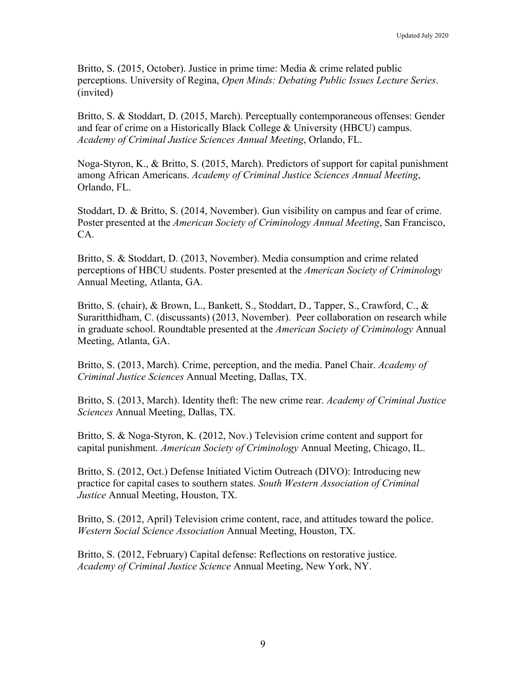Britto, S. (2015, October). Justice in prime time: Media & crime related public perceptions. University of Regina, *Open Minds: Debating Public Issues Lecture Series*. (invited)

Britto, S. & Stoddart, D. (2015, March). Perceptually contemporaneous offenses: Gender and fear of crime on a Historically Black College & University (HBCU) campus. *Academy of Criminal Justice Sciences Annual Meeting*, Orlando, FL.

Noga-Styron, K., & Britto, S. (2015, March). Predictors of support for capital punishment among African Americans. *Academy of Criminal Justice Sciences Annual Meeting*, Orlando, FL.

Stoddart, D. & Britto, S. (2014, November). Gun visibility on campus and fear of crime. Poster presented at the *American Society of Criminology Annual Meeting*, San Francisco, CA.

Britto, S. & Stoddart, D. (2013, November). Media consumption and crime related perceptions of HBCU students. Poster presented at the *American Society of Criminology* Annual Meeting, Atlanta, GA.

Britto, S. (chair), & Brown, L., Bankett, S., Stoddart, D., Tapper, S., Crawford, C., & Suraritthidham, C. (discussants) (2013, November). Peer collaboration on research while in graduate school. Roundtable presented at the *American Society of Criminology* Annual Meeting, Atlanta, GA.

Britto, S. (2013, March). Crime, perception, and the media. Panel Chair. *Academy of Criminal Justice Sciences* Annual Meeting, Dallas, TX.

Britto, S. (2013, March). Identity theft: The new crime rear. *Academy of Criminal Justice Sciences* Annual Meeting, Dallas, TX.

Britto, S. & Noga-Styron, K. (2012, Nov.) Television crime content and support for capital punishment. *American Society of Criminology* Annual Meeting, Chicago, IL.

Britto, S. (2012, Oct.) Defense Initiated Victim Outreach (DIVO): Introducing new practice for capital cases to southern states. *South Western Association of Criminal Justice* Annual Meeting, Houston, TX.

Britto, S. (2012, April) Television crime content, race, and attitudes toward the police. *Western Social Science Association* Annual Meeting, Houston, TX.

Britto, S. (2012, February) Capital defense: Reflections on restorative justice. *Academy of Criminal Justice Science* Annual Meeting, New York, NY.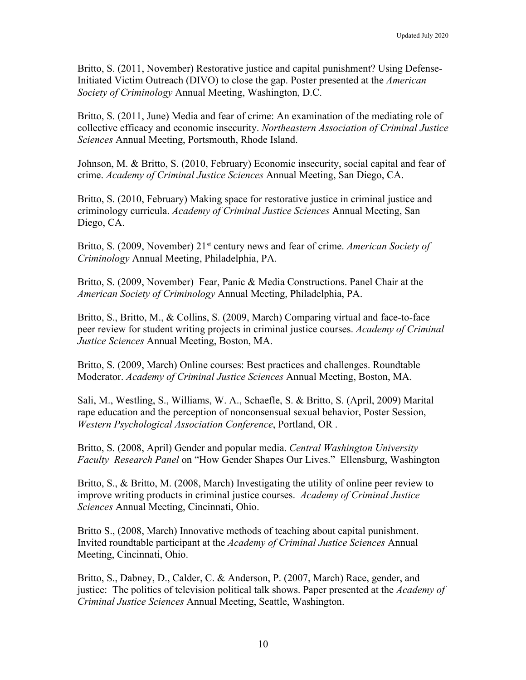Britto, S. (2011, November) Restorative justice and capital punishment? Using Defense-Initiated Victim Outreach (DIVO) to close the gap. Poster presented at the *American Society of Criminology* Annual Meeting, Washington, D.C.

Britto, S. (2011, June) Media and fear of crime: An examination of the mediating role of collective efficacy and economic insecurity. *Northeastern Association of Criminal Justice Sciences* Annual Meeting, Portsmouth, Rhode Island.

Johnson, M. & Britto, S. (2010, February) Economic insecurity, social capital and fear of crime. *Academy of Criminal Justice Sciences* Annual Meeting, San Diego, CA.

Britto, S. (2010, February) Making space for restorative justice in criminal justice and criminology curricula. *Academy of Criminal Justice Sciences* Annual Meeting, San Diego, CA.

Britto, S. (2009, November) 21<sup>st</sup> century news and fear of crime. *American Society of Criminology* Annual Meeting, Philadelphia, PA.

Britto, S. (2009, November) Fear, Panic & Media Constructions. Panel Chair at the *American Society of Criminology* Annual Meeting, Philadelphia, PA.

Britto, S., Britto, M., & Collins, S. (2009, March) Comparing virtual and face-to-face peer review for student writing projects in criminal justice courses. *Academy of Criminal Justice Sciences* Annual Meeting, Boston, MA.

Britto, S. (2009, March) Online courses: Best practices and challenges. Roundtable Moderator. *Academy of Criminal Justice Sciences* Annual Meeting, Boston, MA.

Sali, M., Westling, S., Williams, W. A., Schaefle, S. & Britto, S. (April, 2009) Marital rape education and the perception of nonconsensual sexual behavior, Poster Session, *Western Psychological Association Conference*, Portland, OR .

Britto, S. (2008, April) Gender and popular media. *Central Washington University Faculty Research Panel* on "How Gender Shapes Our Lives." Ellensburg, Washington

Britto, S., & Britto, M. (2008, March) Investigating the utility of online peer review to improve writing products in criminal justice courses. *Academy of Criminal Justice Sciences* Annual Meeting, Cincinnati, Ohio.

Britto S., (2008, March) Innovative methods of teaching about capital punishment. Invited roundtable participant at the *Academy of Criminal Justice Sciences* Annual Meeting, Cincinnati, Ohio.

Britto, S., Dabney, D., Calder, C. & Anderson, P. (2007, March) Race, gender, and justice: The politics of television political talk shows. Paper presented at the *Academy of Criminal Justice Sciences* Annual Meeting, Seattle, Washington.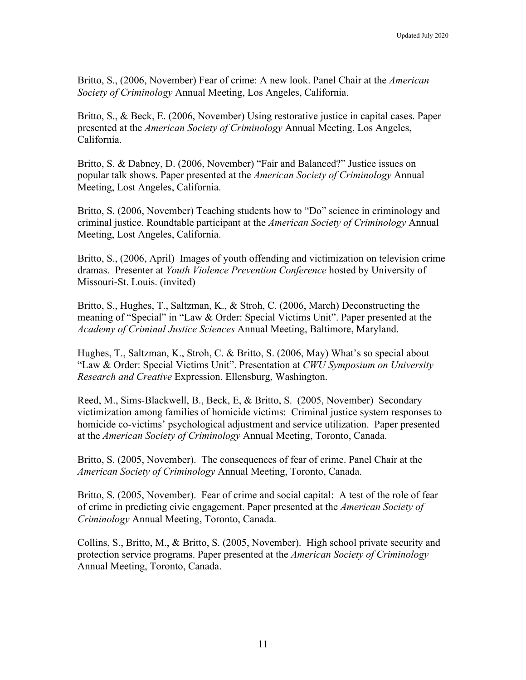Britto, S., (2006, November) Fear of crime: A new look. Panel Chair at the *American Society of Criminology* Annual Meeting, Los Angeles, California.

Britto, S., & Beck, E. (2006, November) Using restorative justice in capital cases. Paper presented at the *American Society of Criminology* Annual Meeting, Los Angeles, California.

Britto, S. & Dabney, D. (2006, November) "Fair and Balanced?" Justice issues on popular talk shows. Paper presented at the *American Society of Criminology* Annual Meeting, Lost Angeles, California.

Britto, S. (2006, November) Teaching students how to "Do" science in criminology and criminal justice. Roundtable participant at the *American Society of Criminology* Annual Meeting, Lost Angeles, California.

Britto, S., (2006, April) Images of youth offending and victimization on television crime dramas. Presenter at *Youth Violence Prevention Conference* hosted by University of Missouri-St. Louis. (invited)

Britto, S., Hughes, T., Saltzman, K., & Stroh, C. (2006, March) Deconstructing the meaning of "Special" in "Law & Order: Special Victims Unit". Paper presented at the *Academy of Criminal Justice Sciences* Annual Meeting, Baltimore, Maryland.

Hughes, T., Saltzman, K., Stroh, C. & Britto, S. (2006, May) What's so special about "Law & Order: Special Victims Unit". Presentation at *CWU Symposium on University Research and Creative* Expression. Ellensburg, Washington.

Reed, M., Sims-Blackwell, B., Beck, E, & Britto, S. (2005, November) Secondary victimization among families of homicide victims: Criminal justice system responses to homicide co-victims' psychological adjustment and service utilization. Paper presented at the *American Society of Criminology* Annual Meeting, Toronto, Canada.

Britto, S. (2005, November). The consequences of fear of crime. Panel Chair at the *American Society of Criminology* Annual Meeting, Toronto, Canada.

Britto, S. (2005, November). Fear of crime and social capital: A test of the role of fear of crime in predicting civic engagement. Paper presented at the *American Society of Criminology* Annual Meeting, Toronto, Canada.

Collins, S., Britto, M., & Britto, S. (2005, November). High school private security and protection service programs. Paper presented at the *American Society of Criminology* Annual Meeting, Toronto, Canada.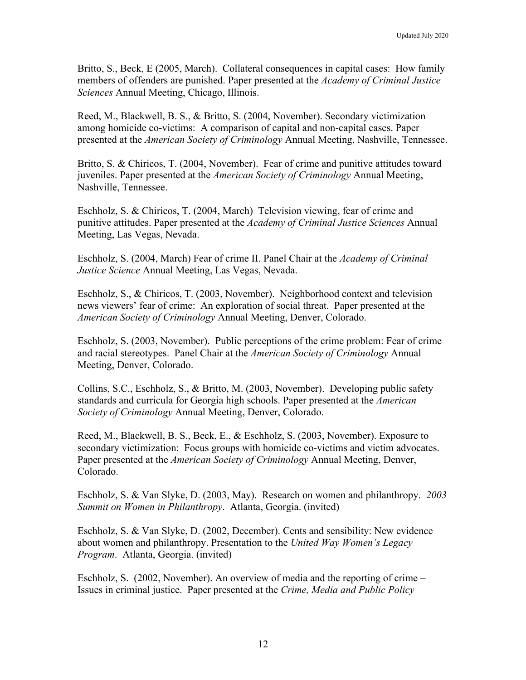Britto, S., Beck, E (2005, March). Collateral consequences in capital cases: How family members of offenders are punished. Paper presented at the *Academy of Criminal Justice Sciences* Annual Meeting, Chicago, Illinois.

Reed, M., Blackwell, B. S., & Britto, S. (2004, November). Secondary victimization among homicide co-victims: A comparison of capital and non-capital cases. Paper presented at the *American Society of Criminology* Annual Meeting, Nashville, Tennessee.

Britto, S. & Chiricos, T. (2004, November). Fear of crime and punitive attitudes toward juveniles. Paper presented at the *American Society of Criminology* Annual Meeting, Nashville, Tennessee.

Eschholz, S. & Chiricos, T. (2004, March) Television viewing, fear of crime and punitive attitudes. Paper presented at the *Academy of Criminal Justice Sciences* Annual Meeting, Las Vegas, Nevada.

Eschholz, S. (2004, March) Fear of crime II. Panel Chair at the *Academy of Criminal Justice Science* Annual Meeting, Las Vegas, Nevada.

Eschholz, S., & Chiricos, T. (2003, November). Neighborhood context and television news viewers' fear of crime: An exploration of social threat. Paper presented at the *American Society of Criminology* Annual Meeting, Denver, Colorado.

Eschholz, S. (2003, November). Public perceptions of the crime problem: Fear of crime and racial stereotypes. Panel Chair at the *American Society of Criminology* Annual Meeting, Denver, Colorado.

Collins, S.C., Eschholz, S., & Britto, M. (2003, November). Developing public safety standards and curricula for Georgia high schools. Paper presented at the *American Society of Criminology* Annual Meeting, Denver, Colorado.

Reed, M., Blackwell, B. S., Beck, E., & Eschholz, S. (2003, November). Exposure to secondary victimization: Focus groups with homicide co-victims and victim advocates. Paper presented at the *American Society of Criminology* Annual Meeting, Denver, Colorado.

Eschholz, S. & Van Slyke, D. (2003, May). Research on women and philanthropy. *2003 Summit on Women in Philanthropy*. Atlanta, Georgia. (invited)

Eschholz, S. & Van Slyke, D. (2002, December). Cents and sensibility: New evidence about women and philanthropy. Presentation to the *United Way Women's Legacy Program*. Atlanta, Georgia. (invited)

Eschholz, S. (2002, November). An overview of media and the reporting of crime – Issues in criminal justice. Paper presented at the *Crime, Media and Public Policy*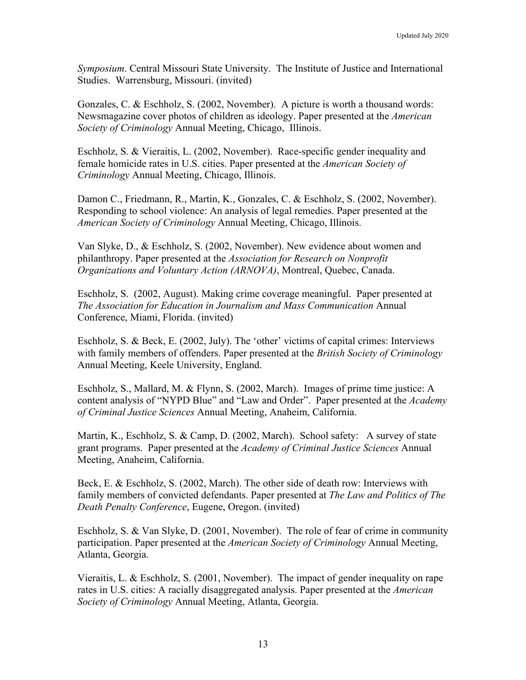*Symposium*. Central Missouri State University. The Institute of Justice and International Studies. Warrensburg, Missouri. (invited)

Gonzales, C. & Eschholz, S. (2002, November). A picture is worth a thousand words: Newsmagazine cover photos of children as ideology. Paper presented at the *American Society of Criminology* Annual Meeting, Chicago, Illinois.

Eschholz, S. & Vieraitis, L. (2002, November). Race-specific gender inequality and female homicide rates in U.S. cities. Paper presented at the *American Society of Criminology* Annual Meeting, Chicago, Illinois.

Damon C., Friedmann, R., Martin, K., Gonzales, C. & Eschholz, S. (2002, November). Responding to school violence: An analysis of legal remedies. Paper presented at the *American Society of Criminology* Annual Meeting, Chicago, Illinois.

Van Slyke, D., & Eschholz, S. (2002, November). New evidence about women and philanthropy. Paper presented at the *Association for Research on Nonprofit Organizations and Voluntary Action (ARNOVA)*, Montreal, Quebec, Canada.

Eschholz, S. (2002, August). Making crime coverage meaningful. Paper presented at *The Association for Education in Journalism and Mass Communication* Annual Conference, Miami, Florida. (invited)

Eschholz, S. & Beck, E. (2002, July). The 'other' victims of capital crimes: Interviews with family members of offenders. Paper presented at the *British Society of Criminology* Annual Meeting, Keele University, England.

Eschholz, S., Mallard, M. & Flynn, S. (2002, March). Images of prime time justice: A content analysis of "NYPD Blue" and "Law and Order". Paper presented at the *Academy of Criminal Justice Sciences* Annual Meeting, Anaheim, California.

Martin, K., Eschholz, S. & Camp, D. (2002, March). School safety: A survey of state grant programs. Paper presented at the *Academy of Criminal Justice Sciences* Annual Meeting, Anaheim, California.

Beck, E. & Eschholz, S. (2002, March). The other side of death row: Interviews with family members of convicted defendants. Paper presented at *The Law and Politics of The Death Penalty Conference*, Eugene, Oregon. (invited)

Eschholz, S. & Van Slyke, D. (2001, November). The role of fear of crime in community participation. Paper presented at the *American Society of Criminology* Annual Meeting, Atlanta, Georgia.

Vieraitis, L. & Eschholz, S. (2001, November). The impact of gender inequality on rape rates in U.S. cities: A racially disaggregated analysis. Paper presented at the *American Society of Criminology* Annual Meeting, Atlanta, Georgia.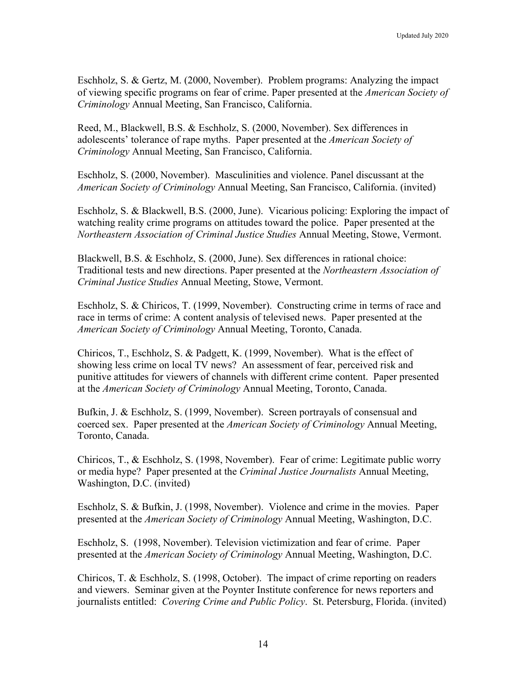Eschholz, S. & Gertz, M. (2000, November). Problem programs: Analyzing the impact of viewing specific programs on fear of crime. Paper presented at the *American Society of Criminology* Annual Meeting, San Francisco, California.

Reed, M., Blackwell, B.S. & Eschholz, S. (2000, November). Sex differences in adolescents' tolerance of rape myths. Paper presented at the *American Society of Criminology* Annual Meeting, San Francisco, California.

Eschholz, S. (2000, November). Masculinities and violence. Panel discussant at the *American Society of Criminology* Annual Meeting, San Francisco, California. (invited)

Eschholz, S. & Blackwell, B.S. (2000, June). Vicarious policing: Exploring the impact of watching reality crime programs on attitudes toward the police. Paper presented at the *Northeastern Association of Criminal Justice Studies* Annual Meeting, Stowe, Vermont.

Blackwell, B.S. & Eschholz, S. (2000, June). Sex differences in rational choice: Traditional tests and new directions. Paper presented at the *Northeastern Association of Criminal Justice Studies* Annual Meeting, Stowe, Vermont.

Eschholz, S. & Chiricos, T. (1999, November). Constructing crime in terms of race and race in terms of crime: A content analysis of televised news. Paper presented at the *American Society of Criminology* Annual Meeting, Toronto, Canada.

Chiricos, T., Eschholz, S. & Padgett, K. (1999, November). What is the effect of showing less crime on local TV news? An assessment of fear, perceived risk and punitive attitudes for viewers of channels with different crime content. Paper presented at the *American Society of Criminology* Annual Meeting, Toronto, Canada.

Bufkin, J. & Eschholz, S. (1999, November). Screen portrayals of consensual and coerced sex. Paper presented at the *American Society of Criminology* Annual Meeting, Toronto, Canada.

Chiricos, T., & Eschholz, S. (1998, November). Fear of crime: Legitimate public worry or media hype? Paper presented at the *Criminal Justice Journalists* Annual Meeting, Washington, D.C. (invited)

Eschholz, S. & Bufkin, J. (1998, November). Violence and crime in the movies. Paper presented at the *American Society of Criminology* Annual Meeting, Washington, D.C.

Eschholz, S. (1998, November). Television victimization and fear of crime. Paper presented at the *American Society of Criminology* Annual Meeting, Washington, D.C.

Chiricos, T. & Eschholz, S. (1998, October). The impact of crime reporting on readers and viewers. Seminar given at the Poynter Institute conference for news reporters and journalists entitled: *Covering Crime and Public Policy*. St. Petersburg, Florida. (invited)